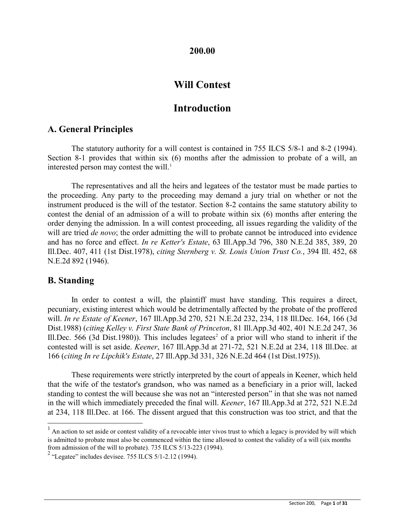### **200.00**

# **Will Contest**

# **Introduction**

## **A. General Principles**

The statutory authority for a will contest is contained in 755 ILCS 5/8-1 and 8-2 (1994). Section 8-1 provides that within six (6) months after the admission to probate of a will, an interested person may contest the will.<sup>[1](#page-0-0)</sup>

The representatives and all the heirs and legatees of the testator must be made parties to the proceeding. Any party to the proceeding may demand a jury trial on whether or not the instrument produced is the will of the testator. Section 8-2 contains the same statutory ability to contest the denial of an admission of a will to probate within six (6) months after entering the order denying the admission. In a will contest proceeding, all issues regarding the validity of the will are tried *de novo*; the order admitting the will to probate cannot be introduced into evidence and has no force and effect. *In re Ketter's Estate*, 63 Ill.App.3d 796, 380 N.E.2d 385, 389, 20 Ill.Dec. 407, 411 (1st Dist.1978), *citing Sternberg v. St. Louis Union Trust Co.*, 394 Ill. 452, 68 N.E.2d 892 (1946).

## **B. Standing**

In order to contest a will, the plaintiff must have standing. This requires a direct, pecuniary, existing interest which would be detrimentally affected by the probate of the proffered will. *In re Estate of Keener*, 167 Ill.App.3d 270, 521 N.E.2d 232, 234, 118 Ill.Dec. 164, 166 (3d Dist.1988) (*citing Kelley v. First State Bank of Princeton*, 81 Ill.App.3d 402, 401 N.E.2d 247, 36 Ill.Dec. 566 (3d Dist.1980)). This includes legatees<sup>[2](#page-0-1)</sup> of a prior will who stand to inherit if the contested will is set aside. *Keener*, 167 Ill.App.3d at 271-72, 521 N.E.2d at 234, 118 Ill.Dec. at 166 (*citing In re Lipchik's Estate*, 27 Ill.App.3d 331, 326 N.E.2d 464 (1st Dist.1975)).

These requirements were strictly interpreted by the court of appeals in Keener, which held that the wife of the testator's grandson, who was named as a beneficiary in a prior will, lacked standing to contest the will because she was not an "interested person" in that she was not named in the will which immediately preceded the final will. *Keener*, 167 Ill.App.3d at 272, 521 N.E.2d at 234, 118 Ill.Dec. at 166. The dissent argued that this construction was too strict, and that the

<span id="page-0-0"></span> $<sup>1</sup>$  An action to set aside or contest validity of a revocable inter vivos trust to which a legacy is provided by will which</sup> is admitted to probate must also be commenced within the time allowed to contest the validity of a will (six months from admission of the will to probate). 735 ILCS 5/13-223 (1994).

<span id="page-0-1"></span> $2$  "Legatee" includes devisee. 755 ILCS 5/1-2.12 (1994).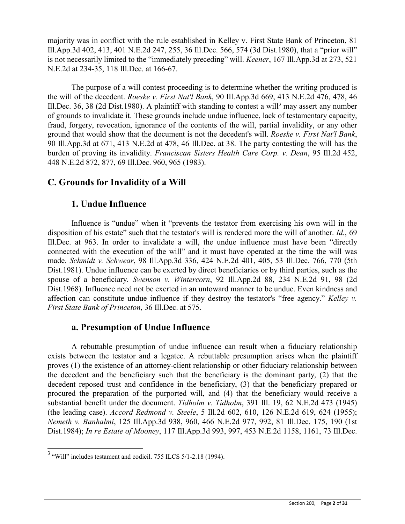majority was in conflict with the rule established in Kelley v. First State Bank of Princeton, 81 Ill.App.3d 402, 413, 401 N.E.2d 247, 255, 36 Ill.Dec. 566, 574 (3d Dist.1980), that a "prior will" is not necessarily limited to the "immediately preceding" will. *Keener*, 167 Ill.App.3d at 273, 521 N.E.2d at 234-35, 118 Ill.Dec. at 166-67.

The purpose of a will contest proceeding is to determine whether the writing produced is the will of the decedent. *Roeske v. First Nat'l Bank*, 90 Ill.App.3d 669, 413 N.E.2d 476, 478, 46 Ill.Dec. [3](#page-1-0)6, 38 (2d Dist.1980). A plaintiff with standing to contest a will<sup>3</sup> may assert any number of grounds to invalidate it. These grounds include undue influence, lack of testamentary capacity, fraud, forgery, revocation, ignorance of the contents of the will, partial invalidity, or any other ground that would show that the document is not the decedent's will. *Roeske v. First Nat'l Bank*, 90 Ill.App.3d at 671, 413 N.E.2d at 478, 46 Ill.Dec. at 38. The party contesting the will has the burden of proving its invalidity. *Franciscan Sisters Health Care Corp. v. Dean*, 95 Ill.2d 452, 448 N.E.2d 872, 877, 69 Ill.Dec. 960, 965 (1983).

# **C. Grounds for Invalidity of a Will**

## **1. Undue Influence**

Influence is "undue" when it "prevents the testator from exercising his own will in the disposition of his estate" such that the testator's will is rendered more the will of another. *Id.*, 69 Ill.Dec. at 963. In order to invalidate a will, the undue influence must have been "directly connected with the execution of the will" and it must have operated at the time the will was made. *Schmidt v. Schwear*, 98 Ill.App.3d 336, 424 N.E.2d 401, 405, 53 Ill.Dec. 766, 770 (5th Dist.1981). Undue influence can be exerted by direct beneficiaries or by third parties, such as the spouse of a beneficiary. *Swenson v. Wintercorn*, 92 Ill.App.2d 88, 234 N.E.2d 91, 98 (2d Dist.1968). Influence need not be exerted in an untoward manner to be undue. Even kindness and affection can constitute undue influence if they destroy the testator's "free agency." *Kelley v. First State Bank of Princeton*, 36 Ill.Dec. at 575.

# **a. Presumption of Undue Influence**

A rebuttable presumption of undue influence can result when a fiduciary relationship exists between the testator and a legatee. A rebuttable presumption arises when the plaintiff proves (1) the existence of an attorney-client relationship or other fiduciary relationship between the decedent and the beneficiary such that the beneficiary is the dominant party, (2) that the decedent reposed trust and confidence in the beneficiary, (3) that the beneficiary prepared or procured the preparation of the purported will, and (4) that the beneficiary would receive a substantial benefit under the document. *Tidholm v. Tidholm*, 391 Ill. 19, 62 N.E.2d 473 (1945) (the leading case). *Accord Redmond v. Steele*, 5 Ill.2d 602, 610, 126 N.E.2d 619, 624 (1955); *Nemeth v. Banhalmi*, 125 Ill.App.3d 938, 960, 466 N.E.2d 977, 992, 81 Ill.Dec. 175, 190 (1st Dist.1984); *In re Estate of Mooney*, 117 Ill.App.3d 993, 997, 453 N.E.2d 1158, 1161, 73 Ill.Dec.

<span id="page-1-0"></span> <sup>3</sup> "Will" includes testament and codicil. 755 ILCS 5/1-2.18 (1994).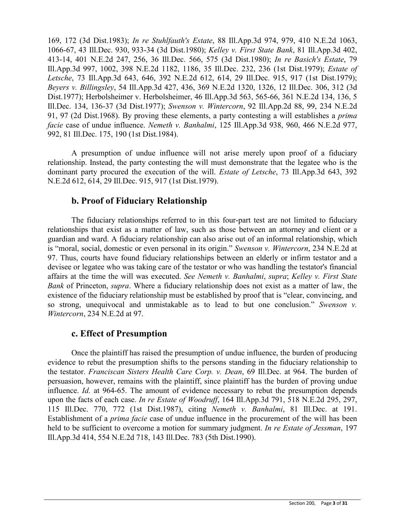169, 172 (3d Dist.1983); *In re Stuhlfauth's Estate*, 88 Ill.App.3d 974, 979, 410 N.E.2d 1063, 1066-67, 43 Ill.Dec. 930, 933-34 (3d Dist.1980); *Kelley v. First State Bank*, 81 Ill.App.3d 402, 413-14, 401 N.E.2d 247, 256, 36 Ill.Dec. 566, 575 (3d Dist.1980); *In re Basich's Estate*, 79 Ill.App.3d 997, 1002, 398 N.E.2d 1182, 1186, 35 Ill.Dec. 232, 236 (1st Dist.1979); *Estate of Letsche*, 73 Ill.App.3d 643, 646, 392 N.E.2d 612, 614, 29 Ill.Dec. 915, 917 (1st Dist.1979); *Beyers v. Billingsley*, 54 Ill.App.3d 427, 436, 369 N.E.2d 1320, 1326, 12 Ill.Dec. 306, 312 (3d Dist.1977); Herbolsheimer v. Herbolsheimer, 46 Ill.App.3d 563, 565-66, 361 N.E.2d 134, 136, 5 Ill.Dec. 134, 136-37 (3d Dist.1977); *Swenson v. Wintercorn*, 92 Ill.App.2d 88, 99, 234 N.E.2d 91, 97 (2d Dist.1968). By proving these elements, a party contesting a will establishes a *prima facie* case of undue influence. *Nemeth v. Banhalmi*, 125 Ill.App.3d 938, 960, 466 N.E.2d 977, 992, 81 Ill.Dec. 175, 190 (1st Dist.1984).

A presumption of undue influence will not arise merely upon proof of a fiduciary relationship. Instead, the party contesting the will must demonstrate that the legatee who is the dominant party procured the execution of the will. *Estate of Letsche*, 73 Ill.App.3d 643, 392 N.E.2d 612, 614, 29 Ill.Dec. 915, 917 (1st Dist.1979).

## **b. Proof of Fiduciary Relationship**

The fiduciary relationships referred to in this four-part test are not limited to fiduciary relationships that exist as a matter of law, such as those between an attorney and client or a guardian and ward. A fiduciary relationship can also arise out of an informal relationship, which is "moral, social, domestic or even personal in its origin." *Swenson v. Wintercorn*, 234 N.E.2d at 97. Thus, courts have found fiduciary relationships between an elderly or infirm testator and a devisee or legatee who was taking care of the testator or who was handling the testator's financial affairs at the time the will was executed. *See Nemeth v. Banhalmi*, *supra*; *Kelley v. First State Bank* of Princeton, *supra*. Where a fiduciary relationship does not exist as a matter of law, the existence of the fiduciary relationship must be established by proof that is "clear, convincing, and so strong, unequivocal and unmistakable as to lead to but one conclusion." *Swenson v. Wintercorn*, 234 N.E.2d at 97.

# **c. Effect of Presumption**

Once the plaintiff has raised the presumption of undue influence, the burden of producing evidence to rebut the presumption shifts to the persons standing in the fiduciary relationship to the testator. *Franciscan Sisters Health Care Corp. v. Dean*, 69 Ill.Dec. at 964. The burden of persuasion, however, remains with the plaintiff, since plaintiff has the burden of proving undue influence. *Id.* at 964-65. The amount of evidence necessary to rebut the presumption depends upon the facts of each case. *In re Estate of Woodruff*, 164 Ill.App.3d 791, 518 N.E.2d 295, 297, 115 Ill.Dec. 770, 772 (1st Dist.1987), citing *Nemeth v. Banhalmi*, 81 Ill.Dec. at 191. Establishment of a *prima facie* case of undue influence in the procurement of the will has been held to be sufficient to overcome a motion for summary judgment. *In re Estate of Jessman*, 197 Ill.App.3d 414, 554 N.E.2d 718, 143 Ill.Dec. 783 (5th Dist.1990).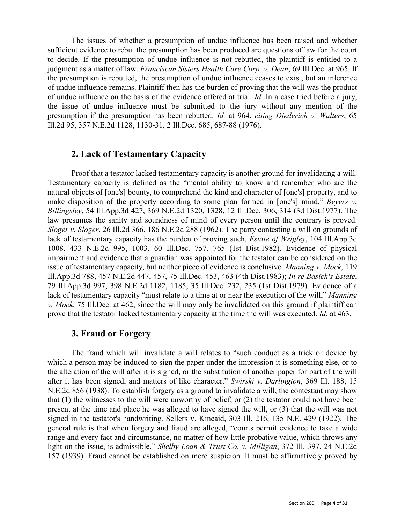The issues of whether a presumption of undue influence has been raised and whether sufficient evidence to rebut the presumption has been produced are questions of law for the court to decide. If the presumption of undue influence is not rebutted, the plaintiff is entitled to a judgment as a matter of law. *Franciscan Sisters Health Care Corp. v. Dean*, 69 Ill.Dec. at 965. If the presumption is rebutted, the presumption of undue influence ceases to exist, but an inference of undue influence remains. Plaintiff then has the burden of proving that the will was the product of undue influence on the basis of the evidence offered at trial. *Id.* In a case tried before a jury, the issue of undue influence must be submitted to the jury without any mention of the presumption if the presumption has been rebutted. *Id.* at 964, *citing Diederich v. Walters*, 65 Ill.2d 95, 357 N.E.2d 1128, 1130-31, 2 Ill.Dec. 685, 687-88 (1976).

## **2. Lack of Testamentary Capacity**

Proof that a testator lacked testamentary capacity is another ground for invalidating a will. Testamentary capacity is defined as the "mental ability to know and remember who are the natural objects of [one's] bounty, to comprehend the kind and character of [one's] property, and to make disposition of the property according to some plan formed in [one's] mind." *Beyers v. Billingsley*, 54 Ill.App.3d 427, 369 N.E.2d 1320, 1328, 12 Ill.Dec. 306, 314 (3d Dist.1977). The law presumes the sanity and soundness of mind of every person until the contrary is proved. *Sloger v. Sloger*, 26 Ill.2d 366, 186 N.E.2d 288 (1962). The party contesting a will on grounds of lack of testamentary capacity has the burden of proving such. *Estate of Wrigley*, 104 Ill.App.3d 1008, 433 N.E.2d 995, 1003, 60 Ill.Dec. 757, 765 (1st Dist.1982). Evidence of physical impairment and evidence that a guardian was appointed for the testator can be considered on the issue of testamentary capacity, but neither piece of evidence is conclusive. *Manning v. Mock*, 119 Ill.App.3d 788, 457 N.E.2d 447, 457, 75 Ill.Dec. 453, 463 (4th Dist.1983); *In re Basich's Estate*, 79 Ill.App.3d 997, 398 N.E.2d 1182, 1185, 35 Ill.Dec. 232, 235 (1st Dist.1979). Evidence of a lack of testamentary capacity "must relate to a time at or near the execution of the will," *Manning v. Mock*, 75 Ill.Dec. at 462, since the will may only be invalidated on this ground if plaintiff can prove that the testator lacked testamentary capacity at the time the will was executed. *Id.* at 463.

## **3. Fraud or Forgery**

The fraud which will invalidate a will relates to "such conduct as a trick or device by which a person may be induced to sign the paper under the impression it is something else, or to the alteration of the will after it is signed, or the substitution of another paper for part of the will after it has been signed, and matters of like character." *Swirski v. Darlington*, 369 Ill. 188, 15 N.E.2d 856 (1938). To establish forgery as a ground to invalidate a will, the contestant may show that (1) the witnesses to the will were unworthy of belief, or (2) the testator could not have been present at the time and place he was alleged to have signed the will, or (3) that the will was not signed in the testator's handwriting. Sellers v. Kincaid, 303 Ill. 216, 135 N.E. 429 (1922). The general rule is that when forgery and fraud are alleged, "courts permit evidence to take a wide range and every fact and circumstance, no matter of how little probative value, which throws any light on the issue, is admissible." *Shelby Loan & Trust Co. v. Milligan*, 372 Ill. 397, 24 N.E.2d 157 (1939). Fraud cannot be established on mere suspicion. It must be affirmatively proved by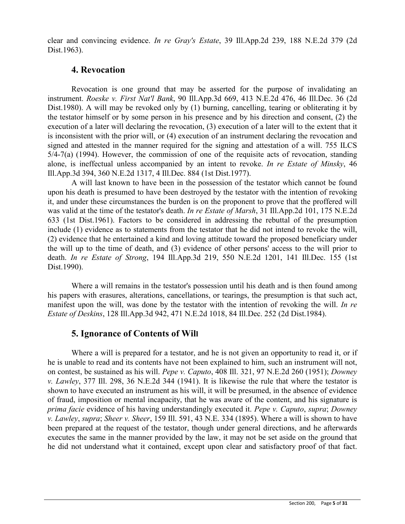clear and convincing evidence. *In re Gray's Estate*, 39 Ill.App.2d 239, 188 N.E.2d 379 (2d Dist.1963).

## **4. Revocation**

Revocation is one ground that may be asserted for the purpose of invalidating an instrument. *Roeske v. First Nat'l Bank*, 90 Ill.App.3d 669, 413 N.E.2d 476, 46 Ill.Dec. 36 (2d Dist.1980). A will may be revoked only by (1) burning, cancelling, tearing or obliterating it by the testator himself or by some person in his presence and by his direction and consent, (2) the execution of a later will declaring the revocation, (3) execution of a later will to the extent that it is inconsistent with the prior will, or (4) execution of an instrument declaring the revocation and signed and attested in the manner required for the signing and attestation of a will. 755 ILCS 5/4-7(a) (1994). However, the commission of one of the requisite acts of revocation, standing alone, is ineffectual unless accompanied by an intent to revoke. *In re Estate of Minsky*, 46 Ill.App.3d 394, 360 N.E.2d 1317, 4 Ill.Dec. 884 (1st Dist.1977).

A will last known to have been in the possession of the testator which cannot be found upon his death is presumed to have been destroyed by the testator with the intention of revoking it, and under these circumstances the burden is on the proponent to prove that the proffered will was valid at the time of the testator's death. *In re Estate of Marsh*, 31 Ill.App.2d 101, 175 N.E.2d 633 (1st Dist.1961). Factors to be considered in addressing the rebuttal of the presumption include (1) evidence as to statements from the testator that he did not intend to revoke the will, (2) evidence that he entertained a kind and loving attitude toward the proposed beneficiary under the will up to the time of death, and (3) evidence of other persons' access to the will prior to death. *In re Estate of Strong*, 194 Ill.App.3d 219, 550 N.E.2d 1201, 141 Ill.Dec. 155 (1st Dist.1990).

Where a will remains in the testator's possession until his death and is then found among his papers with erasures, alterations, cancellations, or tearings, the presumption is that such act, manifest upon the will, was done by the testator with the intention of revoking the will. *In re Estate of Deskins*, 128 Ill.App.3d 942, 471 N.E.2d 1018, 84 Ill.Dec. 252 (2d Dist.1984).

## **5. Ignorance of Contents of Will**

Where a will is prepared for a testator, and he is not given an opportunity to read it, or if he is unable to read and its contents have not been explained to him, such an instrument will not, on contest, be sustained as his will. *Pepe v. Caputo*, 408 Ill. 321, 97 N.E.2d 260 (1951); *Downey v. Lawley*, 377 Ill. 298, 36 N.E.2d 344 (1941). It is likewise the rule that where the testator is shown to have executed an instrument as his will, it will be presumed, in the absence of evidence of fraud, imposition or mental incapacity, that he was aware of the content, and his signature is *prima facie* evidence of his having understandingly executed it. *Pepe v. Caputo*, *supra*; *Downey v. Lawley*, *supra*; *Sheer v. Sheer*, 159 Ill. 591, 43 N.E. 334 (1895). Where a will is shown to have been prepared at the request of the testator, though under general directions, and he afterwards executes the same in the manner provided by the law, it may not be set aside on the ground that he did not understand what it contained, except upon clear and satisfactory proof of that fact.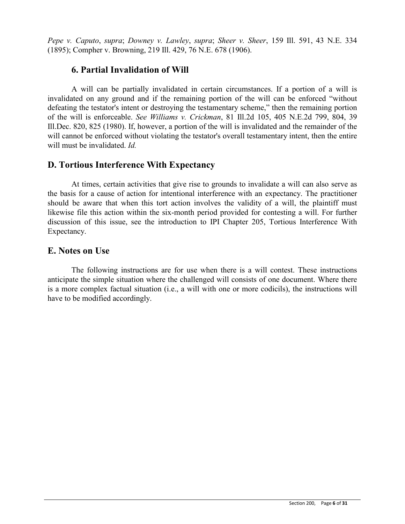*Pepe v. Caputo*, *supra*; *Downey v. Lawley*, *supra*; *Sheer v. Sheer*, 159 Ill. 591, 43 N.E. 334 (1895); Compher v. Browning, 219 Ill. 429, 76 N.E. 678 (1906).

# **6. Partial Invalidation of Will**

A will can be partially invalidated in certain circumstances. If a portion of a will is invalidated on any ground and if the remaining portion of the will can be enforced "without defeating the testator's intent or destroying the testamentary scheme," then the remaining portion of the will is enforceable. *See Williams v. Crickman*, 81 Ill.2d 105, 405 N.E.2d 799, 804, 39 Ill.Dec. 820, 825 (1980). If, however, a portion of the will is invalidated and the remainder of the will cannot be enforced without violating the testator's overall testamentary intent, then the entire will must be invalidated. *Id.*

# **D. Tortious Interference With Expectancy**

At times, certain activities that give rise to grounds to invalidate a will can also serve as the basis for a cause of action for intentional interference with an expectancy. The practitioner should be aware that when this tort action involves the validity of a will, the plaintiff must likewise file this action within the six-month period provided for contesting a will. For further discussion of this issue, see the introduction to IPI Chapter 205, Tortious Interference With Expectancy.

# **E. Notes on Use**

The following instructions are for use when there is a will contest. These instructions anticipate the simple situation where the challenged will consists of one document. Where there is a more complex factual situation (i.e., a will with one or more codicils), the instructions will have to be modified accordingly.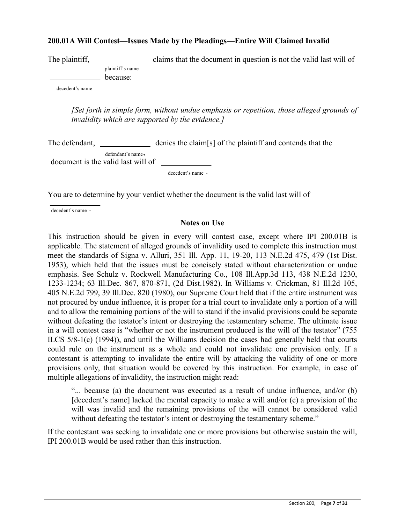### **200.01A Will Contest—Issues Made by the Pleadings—Entire Will Claimed Invalid**

The plaintiff, <u>come claims that the document in question</u> is not the valid last will of plaintiff's name because:

decedent's name

*[Set forth in simple form, without undue emphasis or repetition, those alleged grounds of invalidity which are supported by the evidence.]*

| The defendant,                                          | denies the claim[s] of the plaintiff and contends that the |
|---------------------------------------------------------|------------------------------------------------------------|
| defendant's name,<br>document is the valid last will of |                                                            |
|                                                         | $decedent's name$ .                                        |

You are to determine by your verdict whether the document is the valid last will of

decedent's name .

### **Notes on Use**

This instruction should be given in every will contest case, except where IPI 200.01B is applicable. The statement of alleged grounds of invalidity used to complete this instruction must meet the standards of Signa v. Alluri, 351 Ill. App. 11, 19-20, 113 N.E.2d 475, 479 (1st Dist. 1953), which held that the issues must be concisely stated without characterization or undue emphasis. See Schulz v. Rockwell Manufacturing Co., 108 Ill.App.3d 113, 438 N.E.2d 1230, 1233-1234; 63 Ill.Dec. 867, 870-871, (2d Dist.1982). In Williams v. Crickman, 81 Ill.2d 105, 405 N.E.2d 799, 39 Ill.Dec. 820 (1980), our Supreme Court held that if the entire instrument was not procured by undue influence, it is proper for a trial court to invalidate only a portion of a will and to allow the remaining portions of the will to stand if the invalid provisions could be separate without defeating the testator's intent or destroying the testamentary scheme. The ultimate issue in a will contest case is "whether or not the instrument produced is the will of the testator" (755 ILCS 5/8-1(c) (1994)), and until the Williams decision the cases had generally held that courts could rule on the instrument as a whole and could not invalidate one provision only. If a contestant is attempting to invalidate the entire will by attacking the validity of one or more provisions only, that situation would be covered by this instruction. For example, in case of multiple allegations of invalidity, the instruction might read:

"... because (a) the document was executed as a result of undue influence, and/or (b) [decedent's name] lacked the mental capacity to make a will and/or (c) a provision of the will was invalid and the remaining provisions of the will cannot be considered valid without defeating the testator's intent or destroying the testamentary scheme."

If the contestant was seeking to invalidate one or more provisions but otherwise sustain the will, IPI 200.01B would be used rather than this instruction.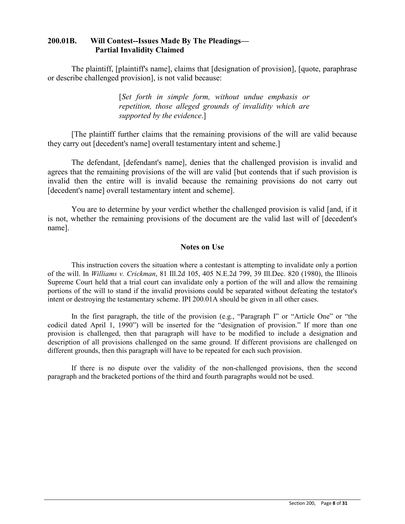## **200.01B. Will Contest--Issues Made By The Pleadings— Partial Invalidity Claimed**

The plaintiff, [plaintiff's name], claims that [designation of provision], [quote, paraphrase or describe challenged provision], is not valid because:

> [*Set forth in simple form, without undue emphasis or repetition, those alleged grounds of invalidity which are supported by the evidence*.]

[The plaintiff further claims that the remaining provisions of the will are valid because they carry out [decedent's name] overall testamentary intent and scheme.]

The defendant, [defendant's name], denies that the challenged provision is invalid and agrees that the remaining provisions of the will are valid [but contends that if such provision is invalid then the entire will is invalid because the remaining provisions do not carry out [decedent's name] overall testamentary intent and scheme].

You are to determine by your verdict whether the challenged provision is valid [and, if it is not, whether the remaining provisions of the document are the valid last will of [decedent's name].

### **Notes on Use**

This instruction covers the situation where a contestant is attempting to invalidate only a portion of the will. In *Williams v. Crickman*, 81 Ill.2d 105, 405 N.E.2d 799, 39 Ill.Dec. 820 (1980), the Illinois Supreme Court held that a trial court can invalidate only a portion of the will and allow the remaining portions of the will to stand if the invalid provisions could be separated without defeating the testator's intent or destroying the testamentary scheme. IPI 200.01A should be given in all other cases.

In the first paragraph, the title of the provision (e.g., "Paragraph I" or "Article One" or "the codicil dated April 1, 1990") will be inserted for the "designation of provision." If more than one provision is challenged, then that paragraph will have to be modified to include a designation and description of all provisions challenged on the same ground. If different provisions are challenged on different grounds, then this paragraph will have to be repeated for each such provision.

If there is no dispute over the validity of the non-challenged provisions, then the second paragraph and the bracketed portions of the third and fourth paragraphs would not be used.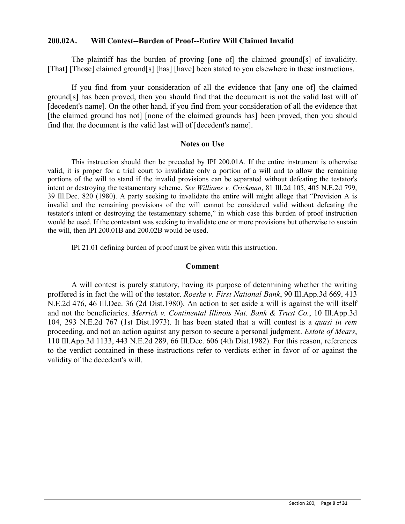### **200.02A. Will Contest--Burden of Proof--Entire Will Claimed Invalid**

The plaintiff has the burden of proving [one of] the claimed ground[s] of invalidity. [That] [Those] claimed ground[s] [has] [have] been stated to you elsewhere in these instructions.

If you find from your consideration of all the evidence that [any one of] the claimed ground[s] has been proved, then you should find that the document is not the valid last will of [decedent's name]. On the other hand, if you find from your consideration of all the evidence that [the claimed ground has not] [none of the claimed grounds has] been proved, then you should find that the document is the valid last will of [decedent's name].

#### **Notes on Use**

This instruction should then be preceded by IPI 200.01A. If the entire instrument is otherwise valid, it is proper for a trial court to invalidate only a portion of a will and to allow the remaining portions of the will to stand if the invalid provisions can be separated without defeating the testator's intent or destroying the testamentary scheme. *See Williams v. Crickman*, 81 Ill.2d 105, 405 N.E.2d 799, 39 Ill.Dec. 820 (1980). A party seeking to invalidate the entire will might allege that "Provision A is invalid and the remaining provisions of the will cannot be considered valid without defeating the testator's intent or destroying the testamentary scheme," in which case this burden of proof instruction would be used. If the contestant was seeking to invalidate one or more provisions but otherwise to sustain the will, then IPI 200.01B and 200.02B would be used.

IPI 21.01 defining burden of proof must be given with this instruction.

#### **Comment**

A will contest is purely statutory, having its purpose of determining whether the writing proffered is in fact the will of the testator. *Roeske v. First National Bank*, 90 Ill.App.3d 669, 413 N.E.2d 476, 46 Ill.Dec. 36 (2d Dist.1980). An action to set aside a will is against the will itself and not the beneficiaries. *Merrick v. Continental Illinois Nat. Bank & Trust Co.*, 10 Ill.App.3d 104, 293 N.E.2d 767 (1st Dist.1973). It has been stated that a will contest is a *quasi in rem* proceeding, and not an action against any person to secure a personal judgment. *Estate of Mears*, 110 Ill.App.3d 1133, 443 N.E.2d 289, 66 Ill.Dec. 606 (4th Dist.1982). For this reason, references to the verdict contained in these instructions refer to verdicts either in favor of or against the validity of the decedent's will.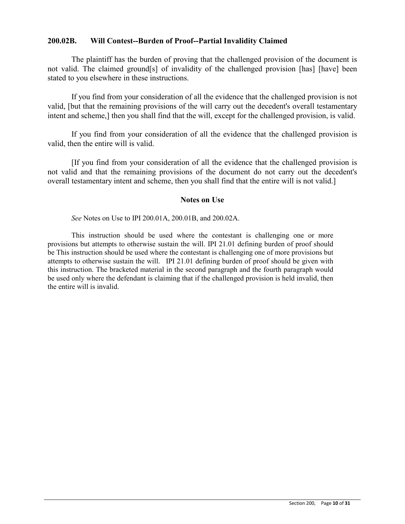## **200.02B. Will Contest--Burden of Proof--Partial Invalidity Claimed**

The plaintiff has the burden of proving that the challenged provision of the document is not valid. The claimed ground[s] of invalidity of the challenged provision [has] [have] been stated to you elsewhere in these instructions.

If you find from your consideration of all the evidence that the challenged provision is not valid, [but that the remaining provisions of the will carry out the decedent's overall testamentary intent and scheme,] then you shall find that the will, except for the challenged provision, is valid.

If you find from your consideration of all the evidence that the challenged provision is valid, then the entire will is valid.

[If you find from your consideration of all the evidence that the challenged provision is not valid and that the remaining provisions of the document do not carry out the decedent's overall testamentary intent and scheme, then you shall find that the entire will is not valid.]

#### **Notes on Use**

*See* Notes on Use to IPI 200.01A, 200.01B, and 200.02A.

This instruction should be used where the contestant is challenging one or more provisions but attempts to otherwise sustain the will. IPI 21.01 defining burden of proof should be This instruction should be used where the contestant is challenging one of more provisions but attempts to otherwise sustain the will. IPI 21.01 defining burden of proof should be given with this instruction. The bracketed material in the second paragraph and the fourth paragraph would be used only where the defendant is claiming that if the challenged provision is held invalid, then the entire will is invalid.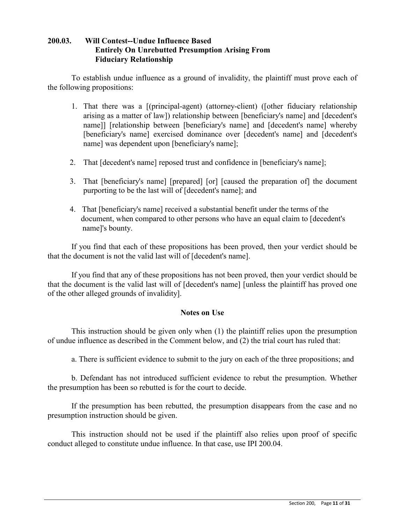## **200.03. Will Contest--Undue Influence Based Entirely On Unrebutted Presumption Arising From Fiduciary Relationship**

To establish undue influence as a ground of invalidity, the plaintiff must prove each of the following propositions:

- 1. That there was a [(principal-agent) (attorney-client) ([other fiduciary relationship arising as a matter of law]) relationship between [beneficiary's name] and [decedent's name]] [relationship between [beneficiary's name] and [decedent's name] whereby [beneficiary's name] exercised dominance over [decedent's name] and [decedent's name] was dependent upon [beneficiary's name];
- 2. That [decedent's name] reposed trust and confidence in [beneficiary's name];
- 3. That [beneficiary's name] [prepared] [or] [caused the preparation of] the document purporting to be the last will of [decedent's name]; and
- 4. That [beneficiary's name] received a substantial benefit under the terms of the document, when compared to other persons who have an equal claim to [decedent's name]'s bounty.

If you find that each of these propositions has been proved, then your verdict should be that the document is not the valid last will of [decedent's name].

If you find that any of these propositions has not been proved, then your verdict should be that the document is the valid last will of [decedent's name] [unless the plaintiff has proved one of the other alleged grounds of invalidity].

## **Notes on Use**

This instruction should be given only when (1) the plaintiff relies upon the presumption of undue influence as described in the Comment below, and (2) the trial court has ruled that:

a. There is sufficient evidence to submit to the jury on each of the three propositions; and

b. Defendant has not introduced sufficient evidence to rebut the presumption. Whether the presumption has been so rebutted is for the court to decide.

If the presumption has been rebutted, the presumption disappears from the case and no presumption instruction should be given.

This instruction should not be used if the plaintiff also relies upon proof of specific conduct alleged to constitute undue influence. In that case, use IPI 200.04.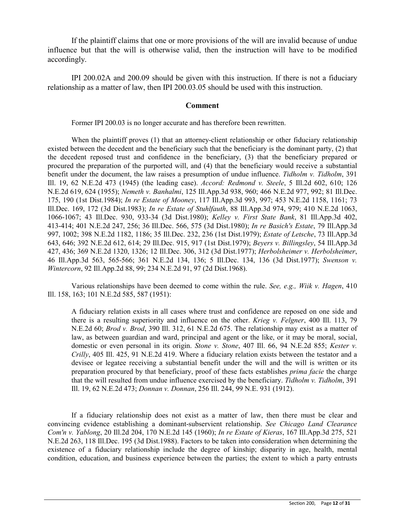If the plaintiff claims that one or more provisions of the will are invalid because of undue influence but that the will is otherwise valid, then the instruction will have to be modified accordingly.

IPI 200.02A and 200.09 should be given with this instruction. If there is not a fiduciary relationship as a matter of law, then IPI 200.03.05 should be used with this instruction.

#### **Comment**

Former IPI 200.03 is no longer accurate and has therefore been rewritten.

When the plaintiff proves (1) that an attorney-client relationship or other fiduciary relationship existed between the decedent and the beneficiary such that the beneficiary is the dominant party, (2) that the decedent reposed trust and confidence in the beneficiary, (3) that the beneficiary prepared or procured the preparation of the purported will, and (4) that the beneficiary would receive a substantial benefit under the document, the law raises a presumption of undue influence. *Tidholm v. Tidholm*, 391 Ill. 19, 62 N.E.2d 473 (1945) (the leading case). *Accord: Redmond v. Steele*, 5 Ill.2d 602, 610; 126 N.E.2d 619, 624 (1955); *Nemeth v. Banhalmi*, 125 Ill.App.3d 938, 960; 466 N.E.2d 977, 992; 81 Ill.Dec. 175, 190 (1st Dist.1984); *In re Estate of Mooney*, 117 Ill.App.3d 993, 997; 453 N.E.2d 1158, 1161; 73 Ill.Dec. 169, 172 (3d Dist.1983); *In re Estate of Stuhlfauth*, 88 Ill.App.3d 974, 979; 410 N.E.2d 1063, 1066-1067; 43 Ill.Dec. 930, 933-34 (3d Dist.1980); *Kelley v. First State Bank*, 81 Ill.App.3d 402, 413-414; 401 N.E.2d 247, 256; 36 Ill.Dec. 566, 575 (3d Dist.1980); *In re Basich's Estate*, 79 Ill.App.3d 997, 1002; 398 N.E.2d 1182, 1186; 35 Ill.Dec. 232, 236 (1st Dist.1979); *Estate of Letsche*, 73 Ill.App.3d 643, 646; 392 N.E.2d 612, 614; 29 Ill.Dec. 915, 917 (1st Dist.1979); *Beyers v. Billingsley*, 54 Ill.App.3d 427, 436; 369 N.E.2d 1320, 1326; 12 Ill.Dec. 306, 312 (3d Dist.1977); *Herbolsheimer v. Herbolsheimer*, 46 Ill.App.3d 563, 565-566; 361 N.E.2d 134, 136; 5 Ill.Dec. 134, 136 (3d Dist.1977); *Swenson v. Wintercorn*, 92 Ill.App.2d 88, 99; 234 N.E.2d 91, 97 (2d Dist.1968).

Various relationships have been deemed to come within the rule. *See, e.g., Wiik v. Hagen*, 410 Ill. 158, 163; 101 N.E.2d 585, 587 (1951):

A fiduciary relation exists in all cases where trust and confidence are reposed on one side and there is a resulting superiority and influence on the other. *Krieg v. Felgner*, 400 Ill. 113, 79 N.E.2d 60; *Brod v. Brod*, 390 Ill. 312, 61 N.E.2d 675. The relationship may exist as a matter of law, as between guardian and ward, principal and agent or the like, or it may be moral, social, domestic or even personal in its origin. *Stone v. Stone*, 407 Ill. 66, 94 N.E.2d 855; *Kester v. Crilly*, 405 Ill. 425, 91 N.E.2d 419. Where a fiduciary relation exists between the testator and a devisee or legatee receiving a substantial benefit under the will and the will is written or its preparation procured by that beneficiary, proof of these facts establishes *prima facie* the charge that the will resulted from undue influence exercised by the beneficiary. *Tidholm v. Tidholm*, 391 Ill. 19, 62 N.E.2d 473; *Donnan v. Donnan*, 256 Ill. 244, 99 N.E. 931 (1912).

If a fiduciary relationship does not exist as a matter of law, then there must be clear and convincing evidence establishing a dominant-subservient relationship. *See Chicago Land Clearance Com'n v. Yablong*, 20 Ill.2d 204, 170 N.E.2d 145 (1960); *In re Estate of Kieras*, 167 Ill.App.3d 275, 521 N.E.2d 263, 118 Ill.Dec. 195 (3d Dist.1988). Factors to be taken into consideration when determining the existence of a fiduciary relationship include the degree of kinship; disparity in age, health, mental condition, education, and business experience between the parties; the extent to which a party entrusts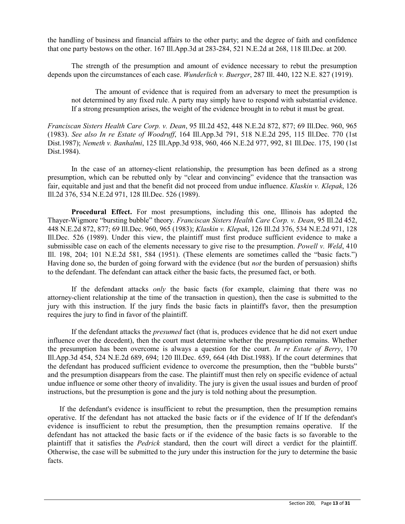the handling of business and financial affairs to the other party; and the degree of faith and confidence that one party bestows on the other. 167 Ill.App.3d at 283-284, 521 N.E.2d at 268, 118 Ill.Dec. at 200.

The strength of the presumption and amount of evidence necessary to rebut the presumption depends upon the circumstances of each case. *Wunderlich v. Buerger*, 287 Ill. 440, 122 N.E. 827 (1919).

The amount of evidence that is required from an adversary to meet the presumption is not determined by any fixed rule. A party may simply have to respond with substantial evidence. If a strong presumption arises, the weight of the evidence brought in to rebut it must be great.

*Franciscan Sisters Health Care Corp. v. Dean*, 95 Ill.2d 452, 448 N.E.2d 872, 877; 69 Ill.Dec. 960, 965 (1983). *See also In re Estate of Woodruff*, 164 Ill.App.3d 791, 518 N.E.2d 295, 115 Ill.Dec. 770 (1st Dist.1987); *Nemeth v. Banhalmi*, 125 Ill.App.3d 938, 960, 466 N.E.2d 977, 992, 81 Ill.Dec. 175, 190 (1st Dist.1984).

In the case of an attorney-client relationship, the presumption has been defined as a strong presumption, which can be rebutted only by "clear and convincing" evidence that the transaction was fair, equitable and just and that the benefit did not proceed from undue influence. *Klaskin v. Klepak*, 126 Ill.2d 376, 534 N.E.2d 971, 128 Ill.Dec. 526 (1989).

**Procedural Effect.** For most presumptions, including this one, Illinois has adopted the Thayer-Wigmore "bursting bubble" theory. *Franciscan Sisters Health Care Corp. v. Dean*, 95 Ill.2d 452, 448 N.E.2d 872, 877; 69 Ill.Dec. 960, 965 (1983); *Klaskin v. Klepak*, 126 Ill.2d 376, 534 N.E.2d 971, 128 Ill.Dec. 526 (1989). Under this view, the plaintiff must first produce sufficient evidence to make a submissible case on each of the elements necessary to give rise to the presumption. *Powell v. Weld*, 410 Ill. 198, 204; 101 N.E.2d 581, 584 (1951). (These elements are sometimes called the "basic facts.") Having done so, the burden of going forward with the evidence (but *not* the burden of persuasion) shifts to the defendant. The defendant can attack either the basic facts, the presumed fact, or both.

If the defendant attacks *only* the basic facts (for example, claiming that there was no attorney-client relationship at the time of the transaction in question), then the case is submitted to the jury with this instruction. If the jury finds the basic facts in plaintiff's favor, then the presumption requires the jury to find in favor of the plaintiff.

If the defendant attacks the *presumed* fact (that is, produces evidence that he did not exert undue influence over the decedent), then the court must determine whether the presumption remains. Whether the presumption has been overcome is always a question for the court. *In re Estate of Berry*, 170 Ill.App.3d 454, 524 N.E.2d 689, 694; 120 Ill.Dec. 659, 664 (4th Dist.1988). If the court determines that the defendant has produced sufficient evidence to overcome the presumption, then the "bubble bursts" and the presumption disappears from the case. The plaintiff must then rely on specific evidence of actual undue influence or some other theory of invalidity. The jury is given the usual issues and burden of proof instructions, but the presumption is gone and the jury is told nothing about the presumption.

If the defendant's evidence is insufficient to rebut the presumption, then the presumption remains operative. If the defendant has not attacked the basic facts or if the evidence of If If the defendant's evidence is insufficient to rebut the presumption, then the presumption remains operative. If the defendant has not attacked the basic facts or if the evidence of the basic facts is so favorable to the plaintiff that it satisfies the *Pedrick* standard, then the court will direct a verdict for the plaintiff. Otherwise, the case will be submitted to the jury under this instruction for the jury to determine the basic facts.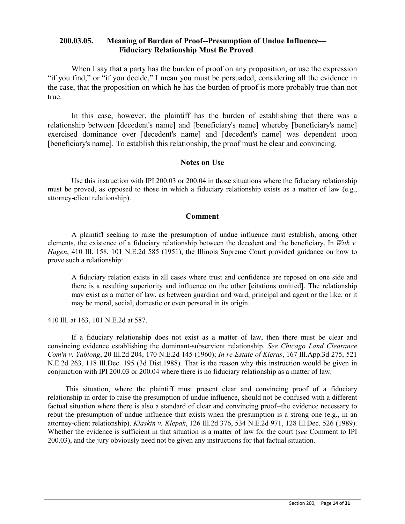## **200.03.05. Meaning of Burden of Proof--Presumption of Undue Influence— Fiduciary Relationship Must Be Proved**

When I say that a party has the burden of proof on any proposition, or use the expression "if you find," or "if you decide," I mean you must be persuaded, considering all the evidence in the case, that the proposition on which he has the burden of proof is more probably true than not true.

In this case, however, the plaintiff has the burden of establishing that there was a relationship between [decedent's name] and [beneficiary's name] whereby [beneficiary's name] exercised dominance over [decedent's name] and [decedent's name] was dependent upon [beneficiary's name]. To establish this relationship, the proof must be clear and convincing.

#### **Notes on Use**

Use this instruction with IPI 200.03 or 200.04 in those situations where the fiduciary relationship must be proved, as opposed to those in which a fiduciary relationship exists as a matter of law (e.g., attorney-client relationship).

#### **Comment**

A plaintiff seeking to raise the presumption of undue influence must establish, among other elements, the existence of a fiduciary relationship between the decedent and the beneficiary. In *Wiik v. Hagen*, 410 Ill. 158, 101 N.E.2d 585 (1951), the Illinois Supreme Court provided guidance on how to prove such a relationship:

A fiduciary relation exists in all cases where trust and confidence are reposed on one side and there is a resulting superiority and influence on the other [citations omitted]. The relationship may exist as a matter of law, as between guardian and ward, principal and agent or the like, or it may be moral, social, domestic or even personal in its origin.

410 Ill. at 163, 101 N.E.2d at 587.

If a fiduciary relationship does not exist as a matter of law, then there must be clear and convincing evidence establishing the dominant-subservient relationship. *See Chicago Land Clearance Com'n v. Yablong*, 20 Ill.2d 204, 170 N.E.2d 145 (1960); *In re Estate of Kieras*, 167 Ill.App.3d 275, 521 N.E.2d 263, 118 Ill.Dec. 195 (3d Dist.1988). That is the reason why this instruction would be given in conjunction with IPI 200.03 or 200.04 where there is no fiduciary relationship as a matter of law.

This situation, where the plaintiff must present clear and convincing proof of a fiduciary relationship in order to raise the presumption of undue influence, should not be confused with a different factual situation where there is also a standard of clear and convincing proof--the evidence necessary to rebut the presumption of undue influence that exists when the presumption is a strong one (e.g., in an attorney-client relationship). *Klaskin v. Klepak*, 126 Ill.2d 376, 534 N.E.2d 971, 128 Ill.Dec. 526 (1989). Whether the evidence is sufficient in that situation is a matter of law for the court (*see* Comment to IPI 200.03), and the jury obviously need not be given any instructions for that factual situation.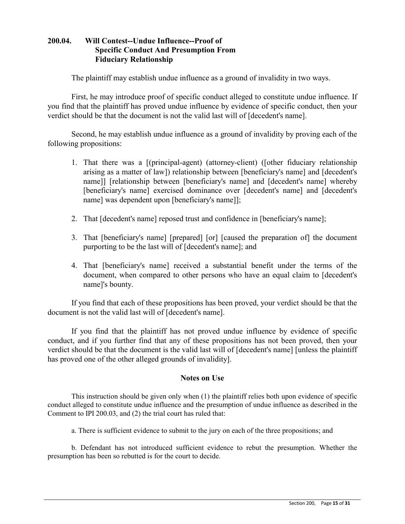## **200.04. Will Contest--Undue Influence--Proof of Specific Conduct And Presumption From Fiduciary Relationship**

The plaintiff may establish undue influence as a ground of invalidity in two ways.

First, he may introduce proof of specific conduct alleged to constitute undue influence. If you find that the plaintiff has proved undue influence by evidence of specific conduct, then your verdict should be that the document is not the valid last will of [decedent's name].

Second, he may establish undue influence as a ground of invalidity by proving each of the following propositions:

- 1. That there was a [(principal-agent) (attorney-client) ([other fiduciary relationship arising as a matter of law]) relationship between [beneficiary's name] and [decedent's name]] [relationship between [beneficiary's name] and [decedent's name] whereby [beneficiary's name] exercised dominance over [decedent's name] and [decedent's name] was dependent upon [beneficiary's name]];
- 2. That [decedent's name] reposed trust and confidence in [beneficiary's name];
- 3. That [beneficiary's name] [prepared] [or] [caused the preparation of] the document purporting to be the last will of [decedent's name]; and
- 4. That [beneficiary's name] received a substantial benefit under the terms of the document, when compared to other persons who have an equal claim to [decedent's name]'s bounty.

If you find that each of these propositions has been proved, your verdict should be that the document is not the valid last will of [decedent's name].

If you find that the plaintiff has not proved undue influence by evidence of specific conduct, and if you further find that any of these propositions has not been proved, then your verdict should be that the document is the valid last will of [decedent's name] [unless the plaintiff has proved one of the other alleged grounds of invalidity].

## **Notes on Use**

This instruction should be given only when (1) the plaintiff relies both upon evidence of specific conduct alleged to constitute undue influence and the presumption of undue influence as described in the Comment to IPI 200.03, and (2) the trial court has ruled that:

a. There is sufficient evidence to submit to the jury on each of the three propositions; and

b. Defendant has not introduced sufficient evidence to rebut the presumption. Whether the presumption has been so rebutted is for the court to decide.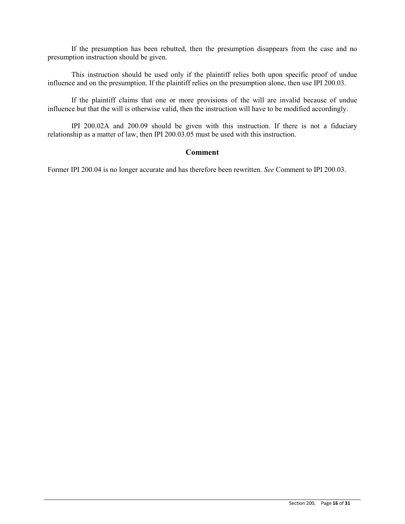If the presumption has been rebutted, then the presumption disappears from the case and no presumption instruction should be given.

This instruction should be used only if the plaintiff relies both upon specific proof of undue influence and on the presumption. If the plaintiff relies on the presumption alone, then use IPI 200.03.

If the plaintiff claims that one or more provisions of the will are invalid because of undue influence but that the will is otherwise valid, then the instruction will have to be modified accordingly.

IPI 200.02A and 200.09 should be given with this instruction. If there is not a fiduciary relationship as a matter of law, then IPI 200.03.05 must be used with this instruction.

#### **Comment**

Former IPI 200.04 is no longer accurate and has therefore been rewritten. *See* Comment to IPI 200.03.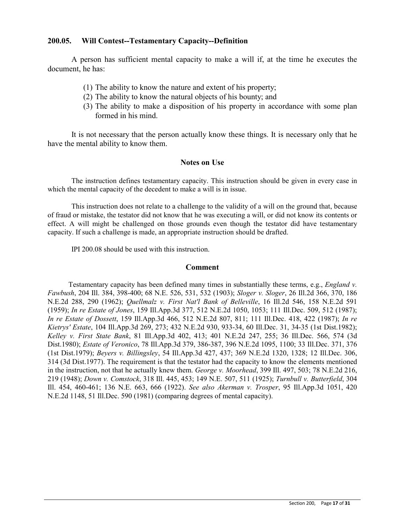### **200.05. Will Contest--Testamentary Capacity--Definition**

A person has sufficient mental capacity to make a will if, at the time he executes the document, he has:

- (1) The ability to know the nature and extent of his property;
- (2) The ability to know the natural objects of his bounty; and
- (3) The ability to make a disposition of his property in accordance with some plan formed in his mind.

It is not necessary that the person actually know these things. It is necessary only that he have the mental ability to know them.

#### **Notes on Use**

The instruction defines testamentary capacity. This instruction should be given in every case in which the mental capacity of the decedent to make a will is in issue.

This instruction does not relate to a challenge to the validity of a will on the ground that, because of fraud or mistake, the testator did not know that he was executing a will, or did not know its contents or effect. A will might be challenged on those grounds even though the testator did have testamentary capacity. If such a challenge is made, an appropriate instruction should be drafted.

IPI 200.08 should be used with this instruction.

#### **Comment**

Testamentary capacity has been defined many times in substantially these terms, e.g., *England v. Fawbush*, 204 Ill. 384, 398-400; 68 N.E. 526, 531, 532 (1903); *Sloger v. Sloger*, 26 Ill.2d 366, 370, 186 N.E.2d 288, 290 (1962); *Quellmalz v. First Nat'l Bank of Belleville*, 16 Ill.2d 546, 158 N.E.2d 591 (1959); *In re Estate of Jones*, 159 Ill.App.3d 377, 512 N.E.2d 1050, 1053; 111 Ill.Dec. 509, 512 (1987); *In re Estate of Dossett*, 159 Ill.App.3d 466, 512 N.E.2d 807, 811; 111 Ill.Dec. 418, 422 (1987); *In re Kietrys' Estate*, 104 Ill.App.3d 269, 273; 432 N.E.2d 930, 933-34, 60 Ill.Dec. 31, 34-35 (1st Dist.1982); *Kelley v. First State Bank*, 81 Ill.App.3d 402, 413; 401 N.E.2d 247, 255; 36 Ill.Dec. 566, 574 (3d Dist.1980); *Estate of Veronico*, 78 Ill.App.3d 379, 386-387, 396 N.E.2d 1095, 1100; 33 Ill.Dec. 371, 376 (1st Dist.1979); *Beyers v. Billingsley*, 54 Ill.App.3d 427, 437; 369 N.E.2d 1320, 1328; 12 Ill.Dec. 306, 314 (3d Dist.1977). The requirement is that the testator had the capacity to know the elements mentioned in the instruction, not that he actually knew them. *George v. Moorhead*, 399 Ill. 497, 503; 78 N.E.2d 216, 219 (1948); *Down v. Comstock*, 318 Ill. 445, 453; 149 N.E. 507, 511 (1925); *Turnbull v. Butterfield*, 304 Ill. 454, 460-461; 136 N.E. 663, 666 (1922). *See also Akerman v. Trosper*, 95 Ill.App.3d 1051, 420 N.E.2d 1148, 51 Ill.Dec. 590 (1981) (comparing degrees of mental capacity).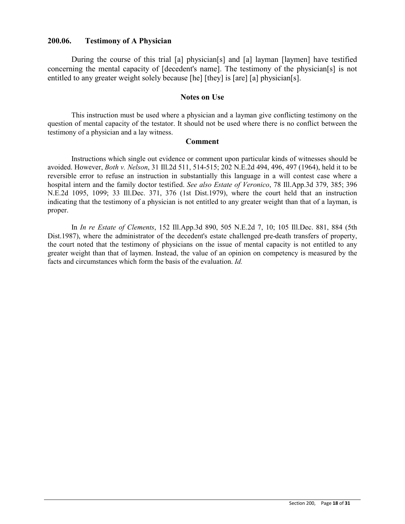### **200.06. Testimony of A Physician**

During the course of this trial [a] physician[s] and [a] layman [laymen] have testified concerning the mental capacity of [decedent's name]. The testimony of the physician[s] is not entitled to any greater weight solely because [he] [they] is [are] [a] physician[s].

#### **Notes on Use**

This instruction must be used where a physician and a layman give conflicting testimony on the question of mental capacity of the testator. It should not be used where there is no conflict between the testimony of a physician and a lay witness.

#### **Comment**

Instructions which single out evidence or comment upon particular kinds of witnesses should be avoided. However, *Both v. Nelson*, 31 Ill.2d 511, 514-515; 202 N.E.2d 494, 496, 497 (1964), held it to be reversible error to refuse an instruction in substantially this language in a will contest case where a hospital intern and the family doctor testified. *See also Estate of Veronico*, 78 Ill.App.3d 379, 385; 396 N.E.2d 1095, 1099; 33 Ill.Dec. 371, 376 (1st Dist.1979), where the court held that an instruction indicating that the testimony of a physician is not entitled to any greater weight than that of a layman, is proper.

In *In re Estate of Clements*, 152 Ill.App.3d 890, 505 N.E.2d 7, 10; 105 Ill.Dec. 881, 884 (5th Dist.1987), where the administrator of the decedent's estate challenged pre-death transfers of property, the court noted that the testimony of physicians on the issue of mental capacity is not entitled to any greater weight than that of laymen. Instead, the value of an opinion on competency is measured by the facts and circumstances which form the basis of the evaluation. *Id.*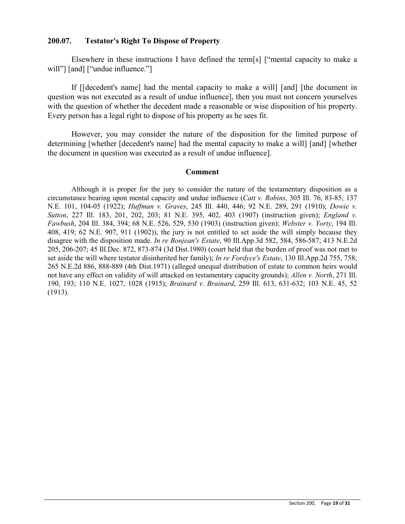### **200.07. Testator's Right To Dispose of Property**

Elsewhere in these instructions I have defined the term[s] ["mental capacity to make a will"] [and] ["undue influence."]

If [[decedent's name] had the mental capacity to make a will] [and] [the document in question was not executed as a result of undue influence], then you must not concern yourselves with the question of whether the decedent made a reasonable or wise disposition of his property. Every person has a legal right to dispose of his property as he sees fit.

However, you may consider the nature of the disposition for the limited purpose of determining [whether [decedent's name] had the mental capacity to make a will] [and] [whether the document in question was executed as a result of undue influence].

#### **Comment**

Although it is proper for the jury to consider the nature of the testamentary disposition as a circumstance bearing upon mental capacity and undue influence (*Catt v. Robins*, 305 Ill. 76, 83-85; 137 N.E. 101, 104-05 (1922); *Huffman v. Graves*, 245 Ill. 440, 446; 92 N.E. 289, 291 (1910); *Dowie v. Sutton*, 227 Ill. 183, 201, 202, 203; 81 N.E. 395, 402, 403 (1907) (instruction given); *England v. Fawbush*, 204 Ill. 384, 394; 68 N.E. 526, 529, 530 (1903) (instruction given); *Webster v. Yorty*, 194 Ill. 408, 419; 62 N.E. 907, 911 (1902)), the jury is not entitled to set aside the will simply because they disagree with the disposition made. *In re Bonjean's Estate*, 90 Ill.App.3d 582, 584, 586-587; 413 N.E.2d 205, 206-207; 45 Ill.Dec. 872, 873-874 (3d Dist.1980) (court held that the burden of proof was not met to set aside the will where testator disinherited her family); *In re Fordyce's Estate*, 130 Ill.App.2d 755, 758; 265 N.E.2d 886, 888-889 (4th Dist.1971) (alleged unequal distribution of estate to common heirs would not have any effect on validity of will attacked on testamentary capacity grounds); *Allen v. North*, 271 Ill. 190, 193; 110 N.E. 1027, 1028 (1915); *Brainard v. Brainard*, 259 Ill. 613, 631-632; 103 N.E. 45, 52 (1913).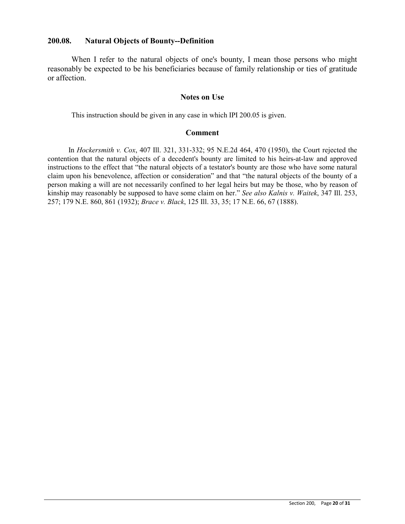### **200.08. Natural Objects of Bounty--Definition**

When I refer to the natural objects of one's bounty, I mean those persons who might reasonably be expected to be his beneficiaries because of family relationship or ties of gratitude or affection.

#### **Notes on Use**

This instruction should be given in any case in which IPI 200.05 is given.

#### **Comment**

In *Hockersmith v. Cox*, 407 Ill. 321, 331-332; 95 N.E.2d 464, 470 (1950), the Court rejected the contention that the natural objects of a decedent's bounty are limited to his heirs-at-law and approved instructions to the effect that "the natural objects of a testator's bounty are those who have some natural claim upon his benevolence, affection or consideration" and that "the natural objects of the bounty of a person making a will are not necessarily confined to her legal heirs but may be those, who by reason of kinship may reasonably be supposed to have some claim on her." *See also Kalnis v. Waitek*, 347 Ill. 253, 257; 179 N.E. 860, 861 (1932); *Brace v. Black*, 125 Ill. 33, 35; 17 N.E. 66, 67 (1888).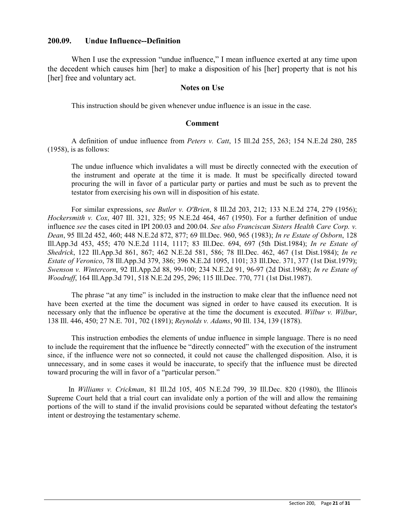#### **200.09. Undue Influence--Definition**

When I use the expression "undue influence," I mean influence exerted at any time upon the decedent which causes him [her] to make a disposition of his [her] property that is not his [her] free and voluntary act.

### **Notes on Use**

This instruction should be given whenever undue influence is an issue in the case.

#### **Comment**

A definition of undue influence from *Peters v. Catt*, 15 Ill.2d 255, 263; 154 N.E.2d 280, 285 (1958), is as follows:

The undue influence which invalidates a will must be directly connected with the execution of the instrument and operate at the time it is made. It must be specifically directed toward procuring the will in favor of a particular party or parties and must be such as to prevent the testator from exercising his own will in disposition of his estate.

For similar expressions, *see Butler v. O'Brien*, 8 Ill.2d 203, 212; 133 N.E.2d 274, 279 (1956); *Hockersmith v. Cox*, 407 Ill. 321, 325; 95 N.E.2d 464, 467 (1950). For a further definition of undue influence *see* the cases cited in IPI 200.03 and 200.04. *See also Franciscan Sisters Health Care Corp. v. Dean*, 95 Ill.2d 452, 460; 448 N.E.2d 872, 877; 69 Ill.Dec. 960, 965 (1983); *In re Estate of Osborn*, 128 Ill.App.3d 453, 455; 470 N.E.2d 1114, 1117; 83 Ill.Dec. 694, 697 (5th Dist.1984); *In re Estate of Shedrick*, 122 Ill.App.3d 861, 867; 462 N.E.2d 581, 586; 78 Ill.Dec. 462, 467 (1st Dist.1984); *In re Estate of Veronico*, 78 Ill.App.3d 379, 386; 396 N.E.2d 1095, 1101; 33 Ill.Dec. 371, 377 (1st Dist.1979); *Swenson v. Wintercorn*, 92 Ill.App.2d 88, 99-100; 234 N.E.2d 91, 96-97 (2d Dist.1968); *In re Estate of Woodruff*, 164 Ill.App.3d 791, 518 N.E.2d 295, 296; 115 Ill.Dec. 770, 771 (1st Dist.1987).

The phrase "at any time" is included in the instruction to make clear that the influence need not have been exerted at the time the document was signed in order to have caused its execution. It is necessary only that the influence be operative at the time the document is executed. *Wilbur v. Wilbur*, 138 Ill. 446, 450; 27 N.E. 701, 702 (1891); *Reynolds v. Adams*, 90 Ill. 134, 139 (1878).

This instruction embodies the elements of undue influence in simple language. There is no need to include the requirement that the influence be "directly connected" with the execution of the instrument since, if the influence were not so connected, it could not cause the challenged disposition. Also, it is unnecessary, and in some cases it would be inaccurate, to specify that the influence must be directed toward procuring the will in favor of a "particular person."

In *Williams v. Crickman*, 81 Ill.2d 105, 405 N.E.2d 799, 39 Ill.Dec. 820 (1980), the Illinois Supreme Court held that a trial court can invalidate only a portion of the will and allow the remaining portions of the will to stand if the invalid provisions could be separated without defeating the testator's intent or destroying the testamentary scheme.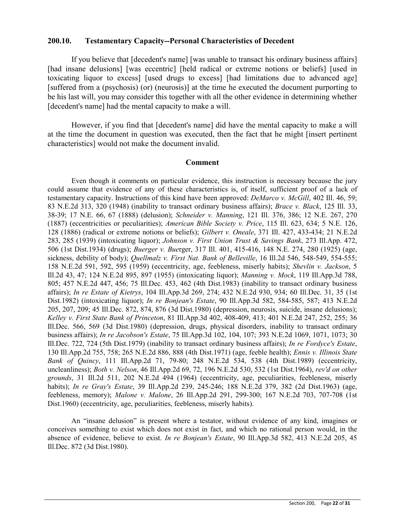#### **200.10. Testamentary Capacity--Personal Characteristics of Decedent**

If you believe that [decedent's name] [was unable to transact his ordinary business affairs] [had insane delusions] [was eccentric] [held radical or extreme notions or beliefs] [used in toxicating liquor to excess] [used drugs to excess] [had limitations due to advanced age] [suffered from a (psychosis) (or) (neurosis)] at the time he executed the document purporting to be his last will, you may consider this together with all the other evidence in determining whether [decedent's name] had the mental capacity to make a will.

However, if you find that [decedent's name] did have the mental capacity to make a will at the time the document in question was executed, then the fact that he might [insert pertinent characteristics] would not make the document invalid.

#### **Comment**

Even though it comments on particular evidence, this instruction is necessary because the jury could assume that evidence of any of these characteristics is, of itself, sufficient proof of a lack of testamentary capacity. Instructions of this kind have been approved: *DeMarco v. McGill*, 402 Ill. 46, 59; 83 N.E.2d 313, 320 (1948) (inability to transact ordinary business affairs); *Brace v. Black*, 125 Ill. 33, 38-39; 17 N.E. 66, 67 (1888) (delusion); *Schneider v. Manning*, 121 Ill. 376, 386; 12 N.E. 267, 270 (1887) (eccentricities or peculiarities); *American Bible Society v. Price*, 115 Ill. 623, 634; 5 N.E. 126, 128 (1886) (radical or extreme notions or beliefs); *Gilbert v. Oneale*, 371 Ill. 427, 433-434; 21 N.E.2d 283, 285 (1939) (intoxicating liquor); *Johnson v. First Union Trust & Savings Bank*, 273 Ill.App. 472, 506 (1st Dist.1934) (drugs); *Buerger v. Bue*rger, 317 Ill. 401, 415-416, 148 N.E. 274, 280 (1925) (age, sickness, debility of body); *Quellmalz v. First Nat. Bank of Belleville*, 16 Ill.2d 546, 548-549, 554-555; 158 N.E.2d 591, 592, 595 (1959) (eccentricity, age, feebleness, miserly habits); *Shevlin v. Jackson*, 5 Ill.2d 43, 47; 124 N.E.2d 895, 897 (1955) (intoxicating liquor); *Manning v. Mock*, 119 Ill.App.3d 788, 805; 457 N.E.2d 447, 456; 75 Ill.Dec. 453, 462 (4th Dist.1983) (inability to transact ordinary business affairs); *In re Estate of Kietrys*, 104 Ill.App.3d 269, 274; 432 N.E.2d 930, 934; 60 Ill.Dec. 31, 35 (1st Dist.1982) (intoxicating liquor); *In re Bonjean's Estate*, 90 Ill.App.3d 582, 584-585, 587; 413 N.E.2d 205, 207, 209; 45 Ill.Dec. 872, 874, 876 (3d Dist.1980) (depression, neurosis, suicide, insane delusions); *Kelley v. First State Bank of Princeton*, 81 Ill.App.3d 402, 408-409, 413; 401 N.E.2d 247, 252, 255; 36 Ill.Dec. 566, 569 (3d Dist.1980) (depression, drugs, physical disorders, inability to transact ordinary business affairs); *In re Jacobson's Estate*, 75 Ill.App.3d 102, 104, 107; 393 N.E.2d 1069, 1071, 1073; 30 Ill.Dec. 722, 724 (5th Dist.1979) (inability to transact ordinary business affairs); *In re Fordyce's Estate*, 130 Ill.App.2d 755, 758; 265 N.E.2d 886, 888 (4th Dist.1971) (age, feeble health); *Ennis v. Illinois State Bank of Quincy*, 111 Ill.App.2d 71, 79-80; 248 N.E.2d 534, 538 (4th Dist.1989) (eccentricity, uncleanliness); *Both v. Nelson*, 46 Ill.App.2d 69, 72, 196 N.E.2d 530, 532 (1st Dist.1964), *rev'd on other grounds*, 31 Ill.2d 511, 202 N.E.2d 494 (1964) (eccentricity, age, peculiarities, feebleness, miserly habits); *In re Gray's Estate*, 39 Ill.App.2d 239, 245-246; 188 N.E.2d 379, 382 (2d Dist.1963) (age, feebleness, memory); *Malone v. Malone*, 26 Ill.App.2d 291, 299-300; 167 N.E.2d 703, 707-708 (1st Dist.1960) (eccentricity, age, peculiarities, feebleness, miserly habits).

An "insane delusion" is present where a testator, without evidence of any kind, imagines or conceives something to exist which does not exist in fact, and which no rational person would, in the absence of evidence, believe to exist. *In re Bonjean's Estate*, 90 Ill.App.3d 582, 413 N.E.2d 205, 45 Ill.Dec. 872 (3d Dist.1980).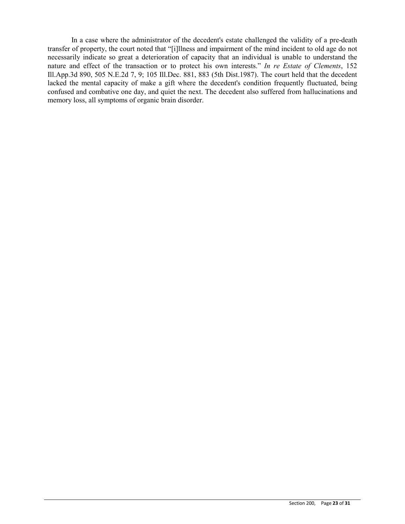In a case where the administrator of the decedent's estate challenged the validity of a pre-death transfer of property, the court noted that "[i]llness and impairment of the mind incident to old age do not necessarily indicate so great a deterioration of capacity that an individual is unable to understand the nature and effect of the transaction or to protect his own interests." *In re Estate of Clements*, 152 Ill.App.3d 890, 505 N.E.2d 7, 9; 105 Ill.Dec. 881, 883 (5th Dist.1987). The court held that the decedent lacked the mental capacity of make a gift where the decedent's condition frequently fluctuated, being confused and combative one day, and quiet the next. The decedent also suffered from hallucinations and memory loss, all symptoms of organic brain disorder.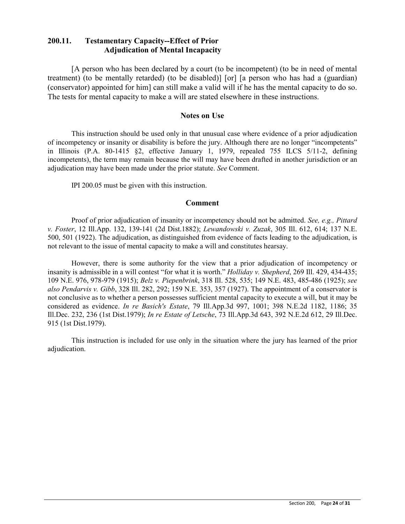## **200.11. Testamentary Capacity--Effect of Prior Adjudication of Mental Incapacity**

[A person who has been declared by a court (to be incompetent) (to be in need of mental treatment) (to be mentally retarded) (to be disabled)] [or] [a person who has had a (guardian) (conservator) appointed for him] can still make a valid will if he has the mental capacity to do so. The tests for mental capacity to make a will are stated elsewhere in these instructions.

#### **Notes on Use**

This instruction should be used only in that unusual case where evidence of a prior adjudication of incompetency or insanity or disability is before the jury. Although there are no longer "incompetents" in Illinois (P.A. 80-1415 §2, effective January 1, 1979, repealed 755 ILCS 5/11-2, defining incompetents), the term may remain because the will may have been drafted in another jurisdiction or an adjudication may have been made under the prior statute. *See* Comment.

IPI 200.05 must be given with this instruction.

#### **Comment**

Proof of prior adjudication of insanity or incompetency should not be admitted. *See, e.g., Pittard v. Foster*, 12 Ill.App. 132, 139-141 (2d Dist.1882); *Lewandowski v. Zuzak*, 305 Ill. 612, 614; 137 N.E. 500, 501 (1922). The adjudication, as distinguished from evidence of facts leading to the adjudication, is not relevant to the issue of mental capacity to make a will and constitutes hearsay.

However, there is some authority for the view that a prior adjudication of incompetency or insanity is admissible in a will contest "for what it is worth." *Holliday v. Shepherd*, 269 Ill. 429, 434-435; 109 N.E. 976, 978-979 (1915); *Belz v. Piepenbrink*, 318 Ill. 528, 535; 149 N.E. 483, 485-486 (1925); *see also Pendarvis v. Gibb*, 328 Ill. 282, 292; 159 N.E. 353, 357 (1927). The appointment of a conservator is not conclusive as to whether a person possesses sufficient mental capacity to execute a will, but it may be considered as evidence. *In re Basich's Estate*, 79 Ill.App.3d 997, 1001; 398 N.E.2d 1182, 1186; 35 Ill.Dec. 232, 236 (1st Dist.1979); *In re Estate of Letsche*, 73 Ill.App.3d 643, 392 N.E.2d 612, 29 Ill.Dec. 915 (1st Dist.1979).

This instruction is included for use only in the situation where the jury has learned of the prior adjudication.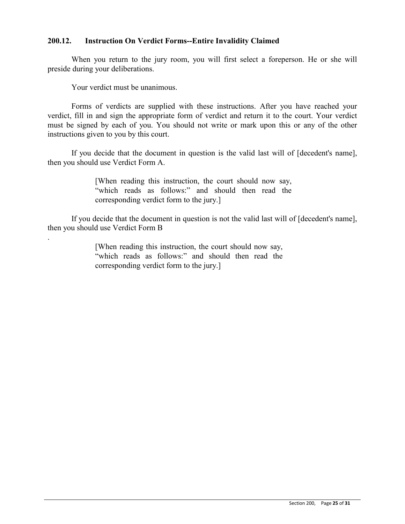## **200.12. Instruction On Verdict Forms--Entire Invalidity Claimed**

When you return to the jury room, you will first select a foreperson. He or she will preside during your deliberations.

Your verdict must be unanimous.

.

Forms of verdicts are supplied with these instructions. After you have reached your verdict, fill in and sign the appropriate form of verdict and return it to the court. Your verdict must be signed by each of you. You should not write or mark upon this or any of the other instructions given to you by this court.

If you decide that the document in question is the valid last will of [decedent's name], then you should use Verdict Form A.

> [When reading this instruction, the court should now say, "which reads as follows:" and should then read the corresponding verdict form to the jury.]

If you decide that the document in question is not the valid last will of [decedent's name], then you should use Verdict Form B

> [When reading this instruction, the court should now say, "which reads as follows:" and should then read the corresponding verdict form to the jury.]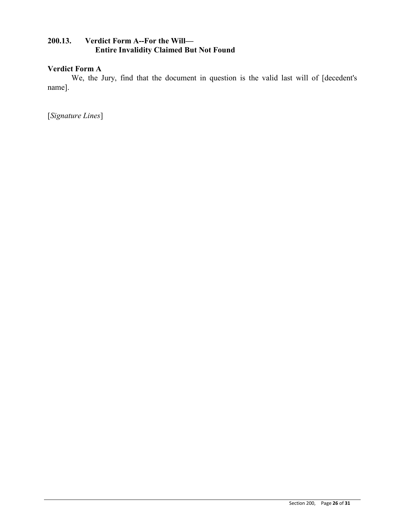## **200.13. Verdict Form A--For the Will— Entire Invalidity Claimed But Not Found**

## **Verdict Form A**

We, the Jury, find that the document in question is the valid last will of [decedent's name].

[*Signature Lines*]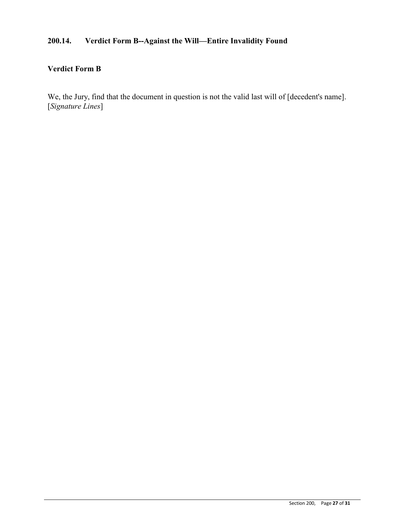# **200.14. Verdict Form B--Against the Will—Entire Invalidity Found**

## **Verdict Form B**

We, the Jury, find that the document in question is not the valid last will of [decedent's name]. [*Signature Lines*]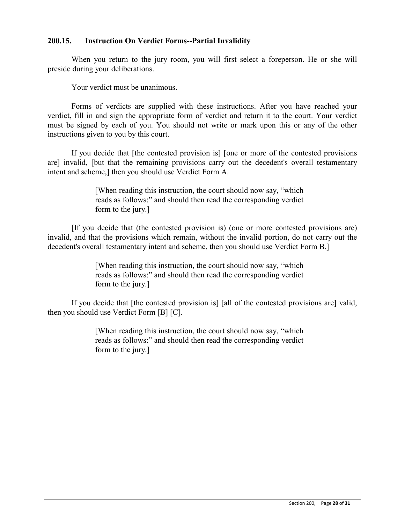## **200.15. Instruction On Verdict Forms--Partial Invalidity**

When you return to the jury room, you will first select a foreperson. He or she will preside during your deliberations.

Your verdict must be unanimous.

Forms of verdicts are supplied with these instructions. After you have reached your verdict, fill in and sign the appropriate form of verdict and return it to the court. Your verdict must be signed by each of you. You should not write or mark upon this or any of the other instructions given to you by this court.

If you decide that [the contested provision is] [one or more of the contested provisions are] invalid, [but that the remaining provisions carry out the decedent's overall testamentary intent and scheme,] then you should use Verdict Form A.

> [When reading this instruction, the court should now say, "which reads as follows:" and should then read the corresponding verdict form to the jury.]

[If you decide that (the contested provision is) (one or more contested provisions are) invalid, and that the provisions which remain, without the invalid portion, do not carry out the decedent's overall testamentary intent and scheme, then you should use Verdict Form B.]

> [When reading this instruction, the court should now say, "which reads as follows:" and should then read the corresponding verdict form to the jury.]

If you decide that [the contested provision is] [all of the contested provisions are] valid, then you should use Verdict Form [B] [C].

> [When reading this instruction, the court should now say, "which reads as follows:" and should then read the corresponding verdict form to the jury.]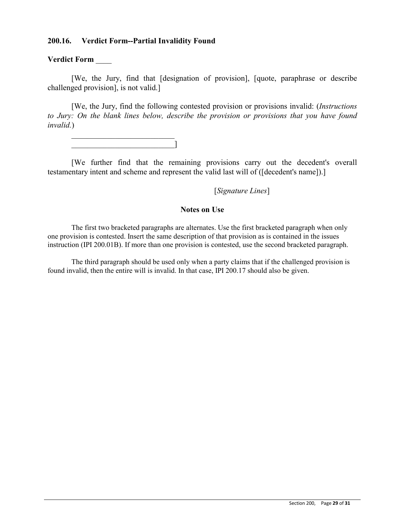## **200.16. Verdict Form--Partial Invalidity Found**

### **Verdict Form** \_\_\_\_

[We, the Jury, find that [designation of provision], [quote, paraphrase or describe challenged provision], is not valid.]

[We, the Jury, find the following contested provision or provisions invalid: (*Instructions to Jury: On the blank lines below, describe the provision or provisions that you have found invalid.*)

\_\_\_\_\_\_\_\_\_\_\_\_\_\_\_\_\_\_\_\_\_\_\_\_\_\_  $\_$ 

[We further find that the remaining provisions carry out the decedent's overall testamentary intent and scheme and represent the valid last will of ([decedent's name]).]

[*Signature Lines*]

#### **Notes on Use**

The first two bracketed paragraphs are alternates. Use the first bracketed paragraph when only one provision is contested. Insert the same description of that provision as is contained in the issues instruction (IPI 200.01B). If more than one provision is contested, use the second bracketed paragraph.

The third paragraph should be used only when a party claims that if the challenged provision is found invalid, then the entire will is invalid. In that case, IPI 200.17 should also be given.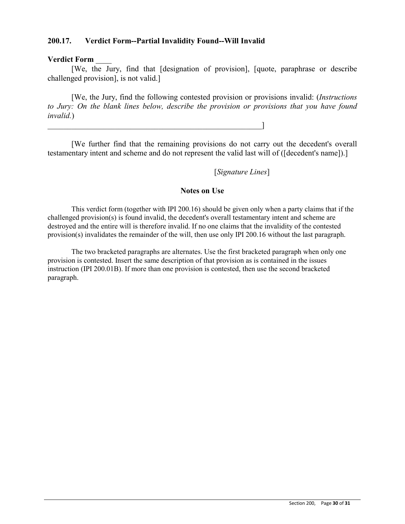## **200.17. Verdict Form--Partial Invalidity Found--Will Invalid**

\_\_\_\_\_\_\_\_\_\_\_\_\_\_\_\_\_\_\_\_\_\_\_\_\_\_\_\_\_\_\_\_\_\_\_\_\_\_\_\_\_\_\_\_\_\_\_\_\_\_\_\_\_\_]

### **Verdict Form** \_\_\_\_

[We, the Jury, find that [designation of provision], [quote, paraphrase or describe challenged provision], is not valid.]

[We, the Jury, find the following contested provision or provisions invalid: (*Instructions to Jury: On the blank lines below, describe the provision or provisions that you have found invalid.*)

[We further find that the remaining provisions do not carry out the decedent's overall testamentary intent and scheme and do not represent the valid last will of ([decedent's name]).]

[*Signature Lines*]

#### **Notes on Use**

This verdict form (together with IPI 200.16) should be given only when a party claims that if the challenged provision(s) is found invalid, the decedent's overall testamentary intent and scheme are destroyed and the entire will is therefore invalid. If no one claims that the invalidity of the contested provision(s) invalidates the remainder of the will, then use only IPI 200.16 without the last paragraph.

The two bracketed paragraphs are alternates. Use the first bracketed paragraph when only one provision is contested. Insert the same description of that provision as is contained in the issues instruction (IPI 200.01B). If more than one provision is contested, then use the second bracketed paragraph.